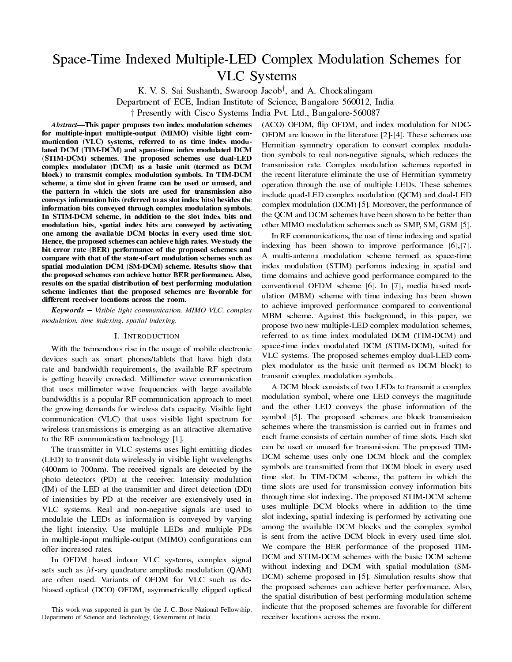# Space-Time Indexed Multiple-LED Complex Modulation Schemes for VLC Systems

K. V. S. Sai Sushanth, Swaroop Jacob*†* , and A. Chockalingam Department of ECE, Indian Institute of Science, Bangalore 560012, India *†* Presently with Cisco Systems India Pvt. Ltd., Bangalore-560087

Abstract-This paper proposes two index modulation schemes for multiple-input multiple-output (MIMO) visible light communication (VLC) systems, referred to as time index modulated DCM (TIM-DCM) and space-time index modulated DCM (STIM-DCM) schemes. The proposed schemes use dual-LED complex modulator (DCM) as a basic unit (termed as DCM block) to transmit complex modulation symbols. In TIM-DCM scheme, a time slot in given frame can be used or unused, and the pattern in which the slots are used for transmission also conveys information bits (referred to as slot index bits) besides the information bits conveyed through complex modulation symbols. In STIM-DCM scheme, in addition to the slot index bits and modulation bits, spatial index bits are conveyed by activating one among the available DCM blocks in every used time slot. Hence, the proposed schemes can achieve high rates. We study the bit error rate (BER) performance of the proposed schemes and compare with that of the state-of-art modulation schemes such as spatial modulation DCM (SM-DCM) scheme. Results show that the proposed schemes can achieve better BER performance. Also, results on the spatial distribution of best performing modulation scheme indicates that the proposed schemes are favorable for different receiver locations across the room.

**Keywords** – Visible light communication, MIMO VLC, complex modulation, time indexing, spatial indexing.

### I. INTRODUCTION

With the tremendous rise in the usage of mobile electronic devices such as smart phones/tablets that have high data rate and bandwidth requirements, the available RF spectrum is getting heavily crowded. Millimeter wave communication that uses millimeter wave frequencies with large available bandwidths is a popular RF communication approach to meet the growing demands for wireless data capacity. Visible light communication (VLC) that uses visible light spectrum for wireless transmissions is emerging as an attractive alternative to the RF communication technology [1].

The transmitter in VLC systems uses light emitting diodes (LED) to transmit data wirelessly in visible light wavelengths (400nm to 700nm). The received signals are detected by the photo detectors (PD) at the receiver. Intensity modulation (IM) of the LED at the transmitter and direct detection (DD) of intensities by PD at the receiver are extensively used in VLC systems. Real and non-negative signals are used to modulate the LEDs as information is conveyed by varying the light intensity. Use multiple LEDs and multiple PDs in multiple-input multiple-output (MIMO) configurations can offer increased rates.

In OFDM based indoor VLC systems, complex signal sets such as *M*-ary quadrature amplitude modulation (QAM) are often used. Variants of OFDM for VLC such as dcbiased optical (DCO) OFDM, asymmetrically clipped optical

(ACO) OFDM, flip OFDM, and index modulation for NDC-OFDM are known in the literature [2]-[4]. These schemes use Hermitian symmetry operation to convert complex modulation symbols to real non-negative signals, which reduces the transmission rate. Complex modulation schemes reported in the recent literature eliminate the use of Hermitian symmetry operation through the use of multiple LEDs. These schemes include quad-LED complex modulation (QCM) and dual-LED complex modulation (DCM) [5]. Moreover, the performance of the QCM and DCM schemes have been shown to be better than other MIMO modulation schemes such as SMP, SM, GSM [5].

In RF communications, the use of time indexing and spatial indexing has been shown to improve performance [6],[7]. A multi-antenna modulation scheme termed as space-time index modulation (STIM) performs indexing in spatial and time domains and achieve good performance compared to the conventional OFDM scheme [6]. In [7], media based modulation (MBM) scheme with time indexing has been shown to achieve improved performance compared to conventional MBM scheme. Against this background, in this paper, we propose two new multiple-LED complex modulation schemes, referred to as time index modulated DCM (TIM-DCM) and space-time index modulated DCM (STIM-DCM), suited for VLC systems. The proposed schemes employ dual-LED complex modulator as the basic unit (termed as DCM block) to transmit complex modulation symbols.

A DCM block consists of two LEDs to transmit a complex modulation symbol, where one LED conveys the magnitude and the other LED conveys the phase information of the symbol [5]. The proposed schemes are block transmission schemes where the transmission is carried out in frames and each frame consists of certain number of time slots. Each slot can be used or unused for transmission. The proposed TIM-DCM scheme uses only one DCM block and the complex symbols are transmitted from that DCM block in every used time slot. In TIM-DCM scheme, the pattern in which the time slots are used for transmission convey information bits through time slot indexing. The proposed STIM-DCM scheme uses multiple DCM blocks where in addition to the time slot indexing, spatial indexing is performed by activating one among the available DCM blocks and the complex symbol is sent from the active DCM block in every used time slot. We compare the BER performance of the proposed TIM-DCM and STIM-DCM schemes with the basic DCM scheme without indexing and DCM with spatial modulation (SM-DCM) scheme proposed in [5]. Simulation results show that the proposed schemes can achieve better performance. Also, the spatial distribution of best performing modulation scheme indicate that the proposed schemes are favorable for different receiver locations across the room.

This work was supported in part by the J. C. Bose National Fellowship, Department of Science and Technology, Government of India.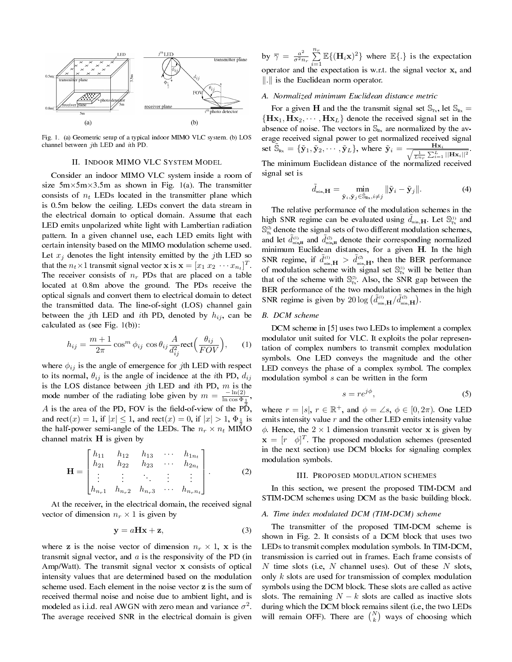

Fig. 1. (a) Geometric setup of a typical indoor MIMO VLC system. (b) LOS channel between *j*th LED and *i*th PD.

# II. INDOOR MIMO VLC SYSTEM MODEL

Consider an indoor MIMO VLC system inside a room of size 5m*×*5m*×*3.5m as shown in Fig. 1(a). The transmitter consists of  $n_t$  LEDs located in the transmitter plane which is 0.5m below the ceiling. LEDs convert the data stream in the electrical domain to optical domain. Assume that each LED emits unpolarized white light with Lambertian radiation pattern. In a given channel use, each LED emits light with certain intensity based on the MIMO modulation scheme used. Let  $x_j$  denotes the light intensity emitted by the *j*th LED so that the  $n_t \times 1$  transmit signal vector **x** is  $\mathbf{x} = [x_1 \ x_2 \ \cdots \ x_{n_t}]^T$ . The receiver consists of  $n_r$  PDs that are placed on a table located at 0.8m above the ground. The PDs receive the optical signals and convert them to electrical domain to detect the transmitted data. The line-of-sight (LOS) channel gain between the *j*th LED and *i*th PD, denoted by  $h_{ij}$ , can be calculated as (see Fig. 1(b)):

$$
h_{ij} = \frac{m+1}{2\pi} \cos^m \phi_{ij} \cos \theta_{ij} \frac{A}{d_{ij}^2} \text{rect}\Big(\frac{\theta_{ij}}{FOV}\Big), \qquad (1)
$$

where *ϕij* is the angle of emergence for *j*th LED with respect to its normal,  $\theta_{ij}$  is the angle of incidence at the *i*th PD,  $d_{ij}$ is the LOS distance between *j*th LED and *i*th PD, *m* is the mode number of the radiating lobe given by  $m = \frac{-\ln(2)}{\ln \cos \Phi_1}$ , A is the area of the PD, FOV is the field-of-view of the  $\overline{P}$ , and  $\text{rect}(x) = 1$ , if  $|x| \leq 1$ , and  $\text{rect}(x) = 0$ , if  $|x| > 1$ ,  $\Phi_{\frac{1}{2}}$  is the half-power semi-angle of the LEDs. The  $n_r \times n_t$  MIMO channel matrix **H** is given by

$$
\mathbf{H} = \begin{bmatrix} h_{11} & h_{12} & h_{13} & \cdots & h_{1n_t} \\ h_{21} & h_{22} & h_{23} & \cdots & h_{2n_t} \\ \vdots & \vdots & & \vdots \\ h_{n_r1} & h_{n_r2} & h_{n_r3} & \cdots & h_{n_rn_t} \end{bmatrix} .
$$
 (2)

At the receiver, in the electrical domain, the received signal vector of dimension  $n_r \times 1$  is given by

$$
y = aHx + z,\t\t(3)
$$

where **z** is the noise vector of dimension  $n_r \times 1$ , **x** is the transmit signal vector, and *a* is the responsivity of the PD (in Amp/Watt). The transmit signal vector **x** consists of optical intensity values that are determined based on the modulation scheme used. Each element in the noise vector **z** is the sum of received thermal noise and noise due to ambient light, and is modeled as i.i.d. real AWGN with zero mean and variance  $\sigma^2$ . The average received SNR in the electrical domain is given

by  $\overline{\gamma} = \frac{a^2}{\sigma^2 n}$  $rac{a^2}{\sigma^2 n_r} \sum_{r=1}^{n_r}$  $\sum_{i=1}^{n} \mathbb{E}\{(\mathbf{H}_i \mathbf{x})^2\}$  where  $\mathbb{E}\{\cdot\}$  is the expectation operator and the expectation is w.r.t. the signal vector **x**, and *∥.∥* is the Euclidean norm operator.

# A. Normalized minimum Euclidean distance metric

For a given **H** and the the transmit signal set  $\mathbb{S}_{T_x}$ , let  $\mathbb{S}_{R_x}$  ${Hx_1, Hx_2, \cdots, Hx_L}$  denote the received signal set in the absence of noise. The vectors in  $\mathbb{S}_{Rx}$  are normalized by the average received signal power to get normalized received signal set  $\widetilde{\mathbb{S}}_{\text{Rx}} = {\{\tilde{\mathbf{y}}_1, \tilde{\mathbf{y}}_2, \cdots, \tilde{\mathbf{y}}_L\}}$ , where  $\tilde{\mathbf{y}}_i = \frac{\mathbf{Hx}_i}{\sqrt{\frac{1}{Ln_r} \sum_{i=1}^L ||\mathbf{Hx}_i||^2}}$ . The minimum Euclidean distance of the normalized received signal set is

$$
\tilde{d}_{\min,\mathbf{H}} = \min_{\tilde{\mathbf{y}}_i, \tilde{\mathbf{y}}_j \in \tilde{\mathbb{S}}_{\text{Rx}}, i \neq j} \|\tilde{\mathbf{y}}_i - \tilde{\mathbf{y}}_j\|.
$$
 (4)

The relative performance of the modulation schemes in the high SNR regime can be evaluated using  $\tilde{d}_{\min,\mathbf{H}}$ . Let  $\mathbb{S}_{\text{Tx}}^{(1)}$  and  $\mathbb{S}_{\tau_{\mathbf{x}}}^{\scriptscriptstyle(2)}$  denote the signal sets of two different modulation schemes, and let  $\tilde{d}_{\min,\text{H}}^{(1)}$  and  $\tilde{d}_{\min,\text{H}}^{(2)}$  denote their corresponding normalized minimum Euclidean distances, for a given **H**. In the high SNR regime, if  $\tilde{d}^{(0)}_{\min,\mathbf{H}} > \tilde{d}^{(2)}_{\min,\mathbf{H}}$ , then the BER performance of modulation scheme with signal set  $\mathbb{S}_{T_x}^{(1)}$  will be better than that of the scheme with  $\mathbb{S}_{T_x}^{\infty}$ . Also, the SNR gap between the BER performance of the two modulation schemes in the high SNR regime is given by  $20 \log \left( \tilde{d}_{\min,\mathbf{H}}^{(1)} / \tilde{d}_{\min,\mathbf{H}}^{(2)} \right)$ .

## B. DCM scheme

DCM scheme in [5] uses two LEDs to implement a complex modulator unit suited for VLC. It exploits the polar representation of complex numbers to transmit complex modulation symbols. One LED conveys the magnitude and the other LED conveys the phase of a complex symbol. The complex modulation symbol *s* can be written in the form

$$
s = re^{j\phi},\tag{5}
$$

where  $r = |s|, r \in \mathbb{R}^+$ , and  $\phi = \angle s, \phi \in [0, 2\pi)$ . One LED emits intensity value *r* and the other LED emits intensity value  $φ$ . Hence, the  $2 \times 1$  dimension transmit vector **x** is given by  $\mathbf{x} = [r \quad \phi]^T$ . The proposed modulation schemes (presented in the next section) use DCM blocks for signaling complex modulation symbols.

#### III. PROPOSED MODULATION SCHEMES

In this section, we present the proposed TIM-DCM and STIM-DCM schemes using DCM as the basic building block.

### A. Time index modulated DCM (TIM-DCM) scheme

The transmitter of the proposed TIM-DCM scheme is shown in Fig. 2. It consists of a DCM block that uses two LEDs to transmit complex modulation symbols. In TIM-DCM, transmission is carried out in frames. Each frame consists of *N* time slots (i.e, *N* channel uses). Out of these *N* slots, only *k* slots are used for transmission of complex modulation symbols using the DCM block. These slots are called as active slots. The remaining  $N - k$  slots are called as inactive slots during which the DCM block remains silent (i.e, the two LEDs will remain OFF). There are  $\binom{N}{k}$  ways of choosing which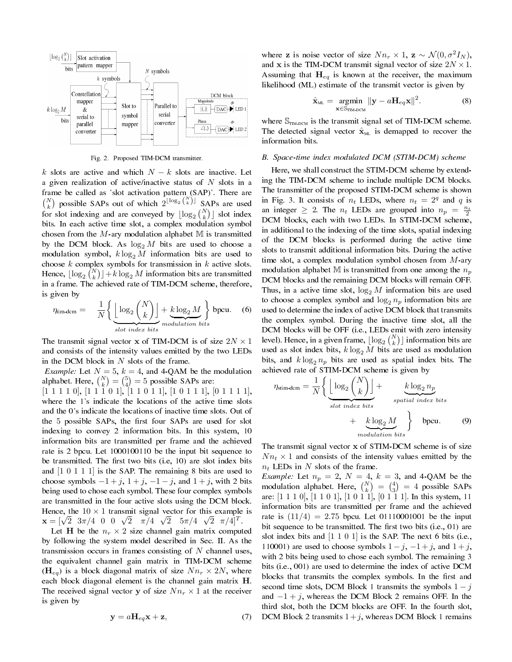

Fig. 2. Proposed TIM-DCM transmitter.

*k* slots are active and which *N − k* slots are inactive. Let a given realization of active/inactive status of *N* slots in a frame be called as 'slot activation pattern (SAP)'. There are  $\binom{N}{k}$  possible SAPs out of which  $2^{\lfloor \log_2 \binom{N}{k} \rfloor}$  SAPs are used for slot indexing and are conveyed by  $\lfloor \log_2 {N \choose k} \rfloor$  slot index bits. In each active time slot, a complex modulation symbol chosen from the  $M$ -ary modulation alphabet  $M$  is transmitted by the DCM block. As  $\log_2 M$  bits are used to choose a modulation symbol,  $k \log_2 M$  information bits are used to choose *k* complex symbols for transmission in *k* active slots. Hence,  $\lfloor \log_2 {\binom{N}{k}} \rfloor + k \log_2{M}$  information bits are transmitted in a frame. The achieved rate of TIM-DCM scheme, therefore, is given by

$$
\eta_{\text{lim-dcm}} = \frac{1}{N} \left\{ \underbrace{\left\lfloor \log_2 \binom{N}{k} \right\rfloor}_{slot\ index\ bits} + \underbrace{k \log_2 M}_{modulation\ bits} \right\} \text{ bpcu.}
$$
 (6)

The transmit signal vector **x** of TIM-DCM is of size  $2N \times 1$ and consists of the intensity values emitted by the two LEDs in the DCM block in *N* slots of the frame.

*Example:* Let  $N = 5$ ,  $k = 4$ , and 4-QAM be the modulation alphabet. Here,  $\binom{N}{k} = \binom{5}{4} = 5$  possible SAPs are:

 $[1\ 1\ 1\ 1\ 0], [1\ 1\ 1\ 1\ 0], [1\ 1\ 1\ 1], [1\ 0\ 1\ 1\ 1], [0\ 1\ 1\ 1\ 1],$ where the 1's indicate the locations of the active time slots and the 0's indicate the locations of inactive time slots. Out of the 5 possible SAPs, the first four SAPs are used for slot indexing to convey 2 information bits. In this system, 10 information bits are transmitted per frame and the achieved rate is 2 bpcu. Let 1000100110 be the input bit sequence to be transmitted. The first two bits (i.e, 10) are slot index bits and [1 0 1 1 1] is the SAP. The remaining 8 bits are used to choose symbols  $-1 + j$ ,  $1 + j$ ,  $-1 - j$ , and  $1 + j$ , with 2 bits being used to chose each symbol. These four complex symbols are transmitted in the four active slots using the DCM block. Hence, the  $10 \times 1$  transmit signal vector for this example is **x** =  $[\sqrt{2}, 3\pi/4, 0, 0, \sqrt{2}, \pi/4, \sqrt{2}, 5\pi/4, \sqrt{2}, \pi/4]^T$ .

Let **H** be the  $n_r \times 2$  size channel gain matrix computed by following the system model described in Sec. II. As the transmission occurs in frames consisting of *N* channel uses, the equivalent channel gain matrix in TIM-DCM scheme  $(\mathbf{H}_{eq})$  is a block diagonal matrix of size  $Nn_r \times 2N$ , where each block diagonal element is the channel gain matrix **H**. The received signal vector **y** of size  $Nn_r \times 1$  at the receiver is given by

$$
\mathbf{y} = a\mathbf{H}_{eq}\mathbf{x} + \mathbf{z},\tag{7}
$$

where **z** is noise vector of size  $Nn_r \times 1$ ,  $\mathbf{z} \sim \mathcal{N}(0, \sigma^2 I_N)$ , and **x** is the TIM-DCM transmit signal vector of size  $2N \times 1$ . Assuming that **H***eq* is known at the receiver, the maximum likelihood (ML) estimate of the transmit vector is given by

$$
\hat{\mathbf{x}}_{\text{ML}} = \underset{\mathbf{x} \in \mathbb{S}_{\text{TIM-DCM}}}{\text{argmin}} ||\mathbf{y} - a\mathbf{H}_{eq}\mathbf{x}||^2. \tag{8}
$$

where  $\mathbb{S}_{\text{TM-DCM}}$  is the transmit signal set of TIM-DCM scheme. The detected signal vector  $\hat{\mathbf{x}}_{ML}$  is demapped to recover the information bits.

# B. Space-time index modulated DCM (STIM-DCM) scheme

Here, we shall construct the STIM-DCM scheme by extending the TIM-DCM scheme to include multiple DCM blocks. The transmitter of the proposed STIM-DCM scheme is shown in Fig. 3. It consists of  $n_t$  LEDs, where  $n_t = 2^q$  and *q* is an integer  $\geq 2$ . The  $n_t$  LEDs are grouped into  $n_p = \frac{n_t}{2}$ DCM blocks, each with two LEDs. In STIM-DCM scheme, in additional to the indexing of the time slots, spatial indexing of the DCM blocks is performed during the active time slots to transmit additional information bits. During the active time slot, a complex modulation symbol chosen from *M*-ary modulation alphabet M is transmitted from one among the *n<sup>p</sup>* DCM blocks and the remaining DCM blocks will remain OFF. Thus, in a active time slot,  $\log_2 M$  information bits are used to choose a complex symbol and  $\log_2 n_p$  information bits are used to determine the index of active DCM block that transmits the complex symbol. During the inactive time slot, all the DCM blocks will be OFF (i.e., LEDs emit with zero intensity level). Hence, in a given frame,  $\lfloor \log_2 {N \choose k} \rfloor$  information bits are used as slot index bits,  $k \log_2 M$  bits are used as modulation bits, and  $k \log_2 n_p$  bits are used as spatial index bits. The achieved rate of STIM-DCM scheme is given by

$$
\eta_{\text{stim-dem}} = \frac{1}{N} \left\{ \underbrace{\left\lfloor \log_2 \binom{N}{k} \right\rfloor}_{\text{slot index bits}} + \underbrace{\underbrace{k \log_2 n_p}_{\text{spatial index bits}} + \underbrace{k \log_2 M}_{\text{modulation bits}} \right\} \text{ bpcu.}
$$
 (9)

The transmit signal vector **x** of STIM-DCM scheme is of size  $Nn_t \times 1$  and consists of the intensity values emitted by the *n<sup>t</sup>* LEDs in *N* slots of the frame.

*Example:* Let  $n_p = 2$ ,  $N = 4$ ,  $k = 3$ , and 4-QAM be the modulation alphabet. Here,  $\binom{N}{k} = \binom{4}{3} = 4$  possible SAPs are:  $[1\ 1\ 1\ 0]$ ,  $[1\ 1\ 0\ 1]$ ,  $[1\ 0\ 1\ 1]$ ,  $[0\ 1\ 1\ 1]$ . In this system, 11 information bits are transmitted per frame and the achieved rate is  $(11/4) = 2.75$  bpcu. Let 01110001001 be the input bit sequence to be transmitted. The first two bits (i.e., 01) are slot index bits and  $[1\ 1\ 0\ 1]$  is the SAP. The next 6 bits (i.e., 110001) are used to choose symbols  $1-j$ ,  $-1+j$ , and  $1+j$ , with 2 bits being used to chose each symbol. The remaining 3 bits (i.e., 001) are used to determine the index of active DCM blocks that transmits the complex symbols. In the first and second time slots, DCM Block 1 transmits the symbols  $1 - i$ and *−*1 + *j*, whereas the DCM Block 2 remains OFF. In the third slot, both the DCM blocks are OFF. In the fourth slot, DCM Block 2 transmits  $1+j$ , whereas DCM Block 1 remains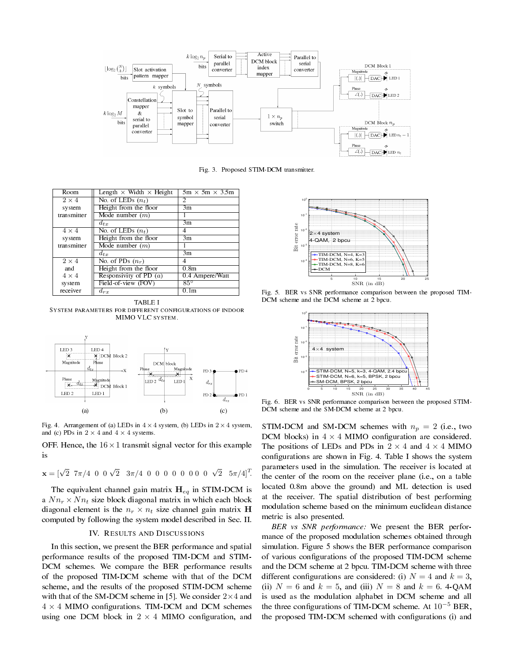



| <b>Room</b>  | Length $\times$ Width $\times$ Height | $5m \times 5m \times 3.5m$ |  |
|--------------|---------------------------------------|----------------------------|--|
| $2 \times 4$ | No. of LEDs $(n_t)$                   | 2                          |  |
| system       | Height from the floor                 | 3m                         |  |
| transmitter  | Mode number $(m)$                     |                            |  |
|              | $d_{tx}$                              | 3m                         |  |
| $4 \times 4$ | No. of LEDs $(n_t)$                   | 4                          |  |
| system       | Height from the floor                 | 3m                         |  |
| transmitter  | Mode number $(m)$                     |                            |  |
|              | $d_{tx}$                              | $\overline{3m}$            |  |
| $2 \times 4$ | No. of PDs $(n_r)$                    | 4                          |  |
| and          | Height from the floor                 | 0.8 <sub>m</sub>           |  |
| $4 \times 4$ | Responsivity of PD $(a)$              | 0.4 Ampere/Watt            |  |
| system       | Field-of-view (FOV)                   | $85^\circ$                 |  |
| receiver     | $d_{rx}$                              | 0.1 <sub>m</sub>           |  |

TABLE I SYSTEM PARAMETERS FOR DIFFERENT CONFIGURATIONS OF INDOOR MIMO VLC SYSTEM.



Fig. 4. Arrangement of (a) LEDs in  $4 \times 4$  system, (b) LEDs in  $2 \times 4$  system, and (c) PDs in  $2 \times 4$  and  $4 \times 4$  systems.

OFF. Hence, the  $16 \times 1$  transmit signal vector for this example is

$$
\mathbf{x} = [\sqrt{2} \quad 7\pi/4 \quad 0 \quad 0 \quad \sqrt{2} \quad 3\pi/4 \quad 0 \quad 0 \quad 0 \quad 0 \quad 0 \quad 0 \quad 0 \quad 0 \quad \sqrt{2} \quad 5\pi/4]^T.
$$

The equivalent channel gain matrix **H***eq* in STIM-DCM is a  $Nn_r \times Nn_t$  size block diagonal matrix in which each block diagonal element is the  $n_r \times n_t$  size channel gain matrix **H** computed by following the system model described in Sec. II.

#### IV. RESULTS AND DISCUSSIONS

In this section, we present the BER performance and spatial performance results of the proposed TIM-DCM and STIM-DCM schemes. We compare the BER performance results of the proposed TIM-DCM scheme with that of the DCM scheme, and the results of the proposed STIM-DCM scheme with that of the SM-DCM scheme in [5]. We consider 2*×*4 and  $4 \times 4$  MIMO configurations. TIM-DCM and DCM schemes using one DCM block in  $2 \times 4$  MIMO configuration, and



Fig. 5. BER vs SNR performance comparison between the proposed TIM-DCM scheme and the DCM scheme at 2 bpcu.



Fig. 6. BER vs SNR performance comparison between the proposed STIM-DCM scheme and the SM-DCM scheme at 2 bpcu.

STIM-DCM and SM-DCM schemes with  $n_p = 2$  (i.e., two DCM blocks) in  $4 \times 4$  MIMO configuration are considered. The positions of LEDs and PDs in  $2 \times 4$  and  $4 \times 4$  MIMO configurations are shown in Fig. 4. Table I shows the system parameters used in the simulation. The receiver is located at the center of the room on the receiver plane (i.e., on a table located 0.8m above the ground) and ML detection is used at the receiver. The spatial distribution of best performing modulation scheme based on the minimum euclidean distance metric is also presented.

BER vs SNR performance: We present the BER performance of the proposed modulation schemes obtained through simulation. Figure 5 shows the BER performance comparison of various configurations of the proposed TIM-DCM scheme and the DCM scheme at 2 bpcu. TIM-DCM scheme with three different configurations are considered: (i)  $N = 4$  and  $k = 3$ , (ii)  $N = 6$  and  $k = 5$ , and (iii)  $N = 8$  and  $k = 6$ . 4-QAM is used as the modulation alphabet in DCM scheme and all the three configurations of TIM-DCM scheme. At 10<sup>−5</sup> BER, the proposed TIM-DCM schemed with configurations (i) and